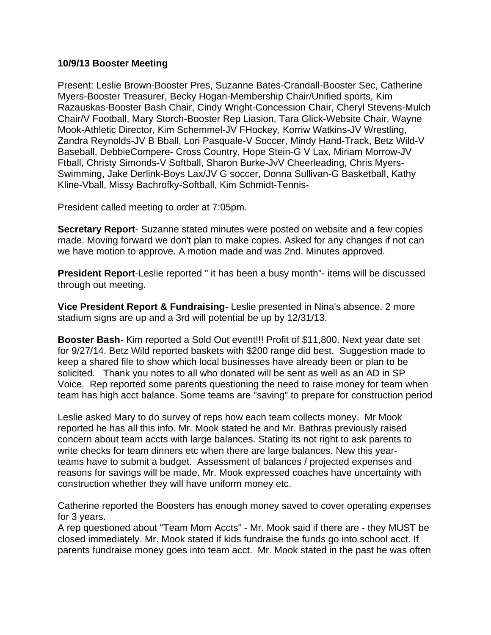## **10/9/13 Booster Meeting**

Present: Leslie Brown-Booster Pres, Suzanne Bates-Crandall-Booster Sec, Catherine Myers-Booster Treasurer, Becky Hogan-Membership Chair/Unified sports, Kim Razauskas-Booster Bash Chair, Cindy Wright-Concession Chair, Cheryl Stevens-Mulch Chair/V Football, Mary Storch-Booster Rep Liasion, Tara Glick-Website Chair, Wayne Mook-Athletic Director, Kim Schemmel-JV FHockey, Korriw Watkins-JV Wrestling, Zandra Reynolds-JV B Bball, Lori Pasquale-V Soccer, Mindy Hand-Track, Betz Wild-V Baseball, DebbieCompere- Cross Country, Hope Stein-G V Lax, Miriam Morrow-JV Ftball, Christy Simonds-V Softball, Sharon Burke-JvV Cheerleading, Chris Myers-Swimming, Jake Derlink-Boys Lax/JV G soccer, Donna Sullivan-G Basketball, Kathy Kline-Vball, Missy Bachrofky-Softball, Kim Schmidt-Tennis-

President called meeting to order at 7:05pm.

**Secretary Report**- Suzanne stated minutes were posted on website and a few copies made. Moving forward we don't plan to make copies. Asked for any changes if not can we have motion to approve. A motion made and was 2nd. Minutes approved.

**President Report**-Leslie reported " it has been a busy month"- items will be discussed through out meeting.

**Vice President Report & Fundraising**- Leslie presented in Nina's absence. 2 more stadium signs are up and a 3rd will potential be up by 12/31/13.

**Booster Bash**- Kim reported a Sold Out event!!! Profit of \$11,800. Next year date set for 9/27/14. Betz Wild reported baskets with \$200 range did best. Suggestion made to keep a shared file to show which local businesses have already been or plan to be solicited. Thank you notes to all who donated will be sent as well as an AD in SP Voice. Rep reported some parents questioning the need to raise money for team when team has high acct balance. Some teams are "saving" to prepare for construction period

Leslie asked Mary to do survey of reps how each team collects money. Mr Mook reported he has all this info. Mr. Mook stated he and Mr. Bathras previously raised concern about team accts with large balances. Stating its not right to ask parents to write checks for team dinners etc when there are large balances. New this yearteams have to submit a budget. Assessment of balances / projected expenses and reasons for savings will be made. Mr. Mook expressed coaches have uncertainty with construction whether they will have uniform money etc.

Catherine reported the Boosters has enough money saved to cover operating expenses for 3 years.

A rep questioned about "Team Mom Accts" - Mr. Mook said if there are - they MUST be closed immediately. Mr. Mook stated if kids fundraise the funds go into school acct. If parents fundraise money goes into team acct. Mr. Mook stated in the past he was often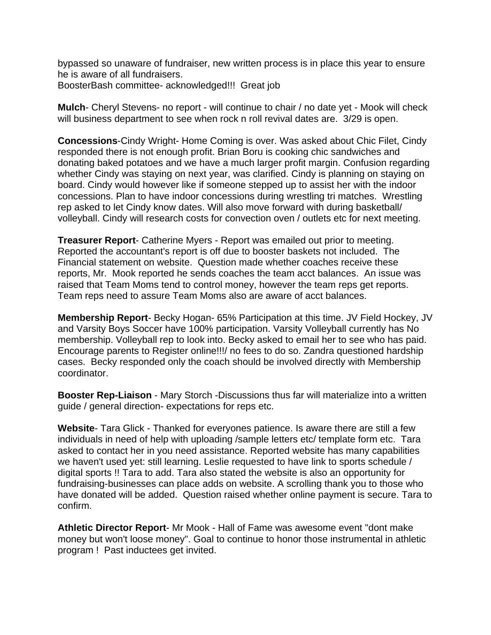bypassed so unaware of fundraiser, new written process is in place this year to ensure he is aware of all fundraisers. BoosterBash committee- acknowledged!!! Great job

**Mulch**- Cheryl Stevens- no report - will continue to chair / no date yet - Mook will check will business department to see when rock n roll revival dates are. 3/29 is open.

**Concessions**-Cindy Wright- Home Coming is over. Was asked about Chic Filet, Cindy responded there is not enough profit. Brian Boru is cooking chic sandwiches and donating baked potatoes and we have a much larger profit margin. Confusion regarding whether Cindy was staying on next year, was clarified. Cindy is planning on staying on board. Cindy would however like if someone stepped up to assist her with the indoor concessions. Plan to have indoor concessions during wrestling tri matches. Wrestling rep asked to let Cindy know dates. Will also move forward with during basketball/ volleyball. Cindy will research costs for convection oven / outlets etc for next meeting.

**Treasurer Report**- Catherine Myers - Report was emailed out prior to meeting. Reported the accountant's report is off due to booster baskets not included. The Financial statement on website. Question made whether coaches receive these reports, Mr. Mook reported he sends coaches the team acct balances. An issue was raised that Team Moms tend to control money, however the team reps get reports. Team reps need to assure Team Moms also are aware of acct balances.

**Membership Report**- Becky Hogan- 65% Participation at this time. JV Field Hockey, JV and Varsity Boys Soccer have 100% participation. Varsity Volleyball currently has No membership. Volleyball rep to look into. Becky asked to email her to see who has paid. Encourage parents to Register online!!!/ no fees to do so. Zandra questioned hardship cases. Becky responded only the coach should be involved directly with Membership coordinator.

**Booster Rep-Liaison** - Mary Storch -Discussions thus far will materialize into a written guide / general direction- expectations for reps etc.

**Website**- Tara Glick - Thanked for everyones patience. Is aware there are still a few individuals in need of help with uploading /sample letters etc/ template form etc. Tara asked to contact her in you need assistance. Reported website has many capabilities we haven't used yet: still learning. Leslie requested to have link to sports schedule / digital sports !! Tara to add. Tara also stated the website is also an opportunity for fundraising-businesses can place adds on website. A scrolling thank you to those who have donated will be added. Question raised whether online payment is secure. Tara to confirm.

**Athletic Director Report**- Mr Mook - Hall of Fame was awesome event "dont make money but won't loose money". Goal to continue to honor those instrumental in athletic program ! Past inductees get invited.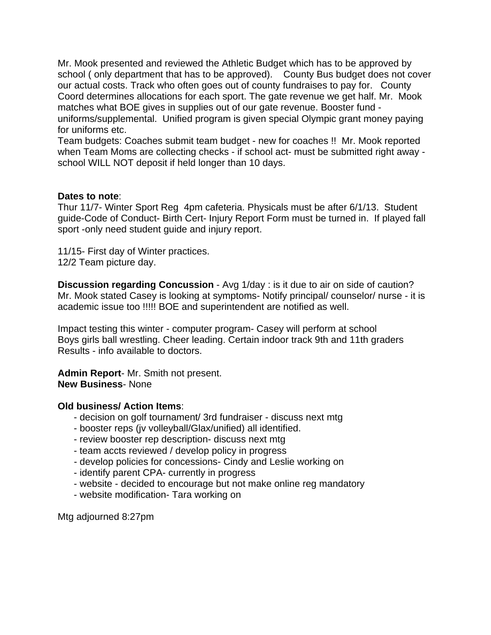Mr. Mook presented and reviewed the Athletic Budget which has to be approved by school ( only department that has to be approved). County Bus budget does not cover our actual costs. Track who often goes out of county fundraises to pay for. County Coord determines allocations for each sport. The gate revenue we get half. Mr. Mook matches what BOE gives in supplies out of our gate revenue. Booster fund uniforms/supplemental. Unified program is given special Olympic grant money paying for uniforms etc.

Team budgets: Coaches submit team budget - new for coaches !! Mr. Mook reported when Team Moms are collecting checks - if school act- must be submitted right away school WILL NOT deposit if held longer than 10 days.

## **Dates to note**:

Thur 11/7- Winter Sport Reg 4pm cafeteria. Physicals must be after 6/1/13. Student guide-Code of Conduct- Birth Cert- Injury Report Form must be turned in. If played fall sport -only need student guide and injury report.

11/15- First day of Winter practices. 12/2 Team picture day.

**Discussion regarding Concussion** - Avg 1/day : is it due to air on side of caution? Mr. Mook stated Casey is looking at symptoms- Notify principal/ counselor/ nurse - it is academic issue too !!!!! BOE and superintendent are notified as well.

Impact testing this winter - computer program- Casey will perform at school Boys girls ball wrestling. Cheer leading. Certain indoor track 9th and 11th graders Results - info available to doctors.

**Admin Report**- Mr. Smith not present. **New Business**- None

## **Old business/ Action Items**:

- decision on golf tournament/ 3rd fundraiser discuss next mtg
- booster reps (jv volleyball/Glax/unified) all identified.
- review booster rep description- discuss next mtg
- team accts reviewed / develop policy in progress
- develop policies for concessions- Cindy and Leslie working on
- identify parent CPA- currently in progress
- website decided to encourage but not make online reg mandatory
- website modification- Tara working on

Mtg adjourned 8:27pm